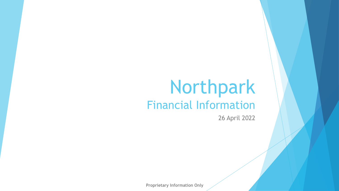# Northpark Financial Information

26 April 2022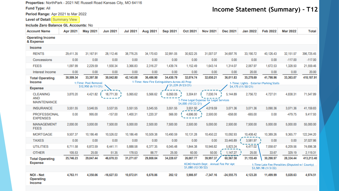Properties: NorthPark - 2021 NE Russell Road Kansas City, MO 64116

Fund Type: All

Period Range: Apr 2021 to Mar 2022

Level of Detail: Summary View

Include Zero Balance GL Accounts: No

### **Income Statement (Summary) – T12**

| <b>Account Name</b>                            | <b>Apr 2021</b> | <b>May 2021</b>       | <b>Jun 2021</b> | <b>Jul 2021</b> | Aug 2021  | <b>Sep 2021</b>                                | Oct 2021                       | <b>Nov 2021</b>                                     | <b>Dec 2021</b> | <b>Jan 2022</b>    | <b>Feb 2022</b>                                                        | <b>Mar 2022</b> | <b>Total</b> |
|------------------------------------------------|-----------------|-----------------------|-----------------|-----------------|-----------|------------------------------------------------|--------------------------------|-----------------------------------------------------|-----------------|--------------------|------------------------------------------------------------------------|-----------------|--------------|
| <b>Operating Income</b><br>& Expense           |                 |                       |                 |                 |           |                                                |                                |                                                     |                 |                    |                                                                        |                 |              |
| Income                                         |                 |                       |                 |                 |           |                                                |                                |                                                     |                 |                    |                                                                        |                 |              |
| <b>RENTS</b>                                   | 29,411.35       | 31,167.91             | 28,112.46       | 38,776.25       | 34,170.63 | 32,991.05                                      | 30,922.25                      | 31,007.07                                           | 34,697.76       | 33,190.72          | 40,126.43                                                              | 32,151.57       | 396,725.45   |
| Concessions                                    | 0.00            | 0.00                  | 0.00            | 0.00            | 0.00      | 0.00                                           | 0.00                           | 0.00                                                | 0.00            | 0.00               | 0.00                                                                   | $-117.00$       | $-117.00$    |
| <b>FEES</b>                                    | 1,097.99        | 2,229.59              | 1,930.34        | 3,366.83        | 2,316.27  | 1,439.74                                       | 1,152.49                       | 1,643.14                                            | 1,314.07        | 2,067.97           | 1,672.53                                                               | 1,328.50        | 21,559.46    |
| Interest Income                                | 0.00            | 0.00                  | 0.00            | 0.00            | 0.00      | 0.00                                           | 0.00                           | 0.00                                                | 0.00            | 20.00              | 0.00                                                                   | 0.00            | 20.00        |
| <b>Total Operating</b>                         | 30,509.34       | 33,397.50             | 30,042.80       | 42,143.08       | 36,486.90 | 34,430.79                                      | 32,074.74                      | 32,650.21                                           | 36,011.83       | 35,278.69          | 41,798.96                                                              | 33,363.07       | 418,187.91   |
| Income                                         |                 | 1: Time: Pool Removal |                 |                 |           | 1-Time: New Fire Extinguishers Across All Prop | 51,239(9/23/21)                |                                                     |                 |                    | 1-Time: Lights - Exterior/Parking Stalls                               |                 |              |
| <b>Expense</b>                                 |                 | \$12,950 (6/11/21)    |                 |                 |           |                                                |                                |                                                     |                 | \$4,175 (11/30/21) |                                                                        |                 |              |
| <b>CLEANING</b><br>AND<br><b>MAINTENANCE</b>   | 3,870.20        | 4,421.82              | 18,771.30       | 5,065.62        | 5,566.62  | 6,050.05                                       | 3,304.61<br>\$4,000 (10/22/21) | 7,030.74<br>1-Time Legal Expense for Legal Services | 5,144.89        | 2,756.72           | 4,727.01                                                               | 4,838.31        | 71,547.89    |
| <b>INSURANCE</b>                               | 3,551.55        | 3,546.55              | 3,537.55        | 3,551.55        | 3,545.55  | 3,551.55                                       | 3,551.50                       | 4.019.59                                            | 3,071.36        | 3,071.36           | 3,090.36                                                               | 3,071.36        | 41,159.83    |
| <b>PROFESSIONAL</b><br><b>EXPENSES</b>         | 0.00            | 995.00                | $-157.00$       | 1,400.31        | 1,220.37  | 566.00                                         | 4,696.00                       | 2,500.00                                            | $-658.00$       | $-665.00$          | 0.00                                                                   | -479.75         | 9,417.93     |
| <b>MANAGEMENT</b><br><b>FEES</b>               | 2,000.00        | 3,000.00              | 7,500.00        | 5,000.00        | 2,500.00  | 7,500.00                                       | 2,500.00                       | 5,000.00                                            | 2,500.00        | 7,500.00           | 5,000.00                                                               | 5,000.00        | 55,000.00    |
| <b>MORTGAGE</b>                                | 9,507.37        | 10,186.48             | 10,526.02       | 10,186.48       | 10,509.38 | 10,490.59                                      | 10,131.28                      | 10,450.22                                           | 10,092.93       | 10,408.42          | 10,389.26                                                              | 9,365.77        | 122,244.20   |
| <b>TAXES</b>                                   | 0.00            | 0.00                  | 0.00            | 0.00            | 0.00      | 0.00                                           | 0.00                           | 0.00                                                | 33,445.89       | 3,581.97           | 0.00                                                                   | 0.00            | 37,027.86    |
| <b>UTILITIES</b>                               | 6,711.58        | 6,872.59              | 6,441.11        | 5,888.58        | 6,377.35  | 6,045.48                                       | 1,844.38                       | 10,946.82                                           | 5,823.24        | 4,477.02           | 7,058.67                                                               | 6,209.56        | 74,696.38    |
| <b>OTHER</b>                                   | 105.53          | 25.00                 | 51.35           | 178.53          | 88.77     | 25.00                                          | 60.00                          | 50.00                                               | 1,147.27        | 25.00              | 33.67                                                                  | 329.19          | 2,119.31     |
| <b>Total Operating</b>                         | 25,746.23       | 29,047.44             | 46,670.33       | 31,271.07       | 29,808.04 | 34,228.67                                      | 26,087.77                      | 39,997.37                                           | 60,567.58       | 31,155.49          | 30,298.97                                                              | 28,334.44       | 413,213.40   |
| <b>Expense</b>                                 |                 |                       |                 |                 |           |                                                | \$1,080 (12/30/22)             | KCMO Health Dept - Annual Fee Per Apt               |                 |                    | 1: Time Late Fee/Penalties (Disputed w/ County)<br>\$3,581.98 (1/3/22) |                 |              |
| <b>NOI - Net</b><br><b>Operating</b><br>Income | 4,763.11        | 4,350.06              | $-16,627.53$    | 10,872.01       | 6,678.86  | 202.12                                         | 5,986.97                       | $-7,347.16$                                         | $-24,555.75$    | 4,123.20           | 11,499.99                                                              | 5,028.63        | 4,974.51     |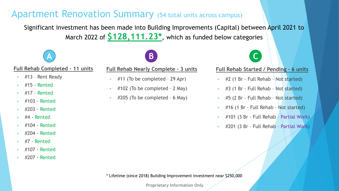## Apartment Renovation Summary (54 total units across campus)

Significant investment has been made into Building Improvements (Capital) between April 2021 to March 2022 of **\$128,111.23\***, which as funded below categories



### **Full Rehab Completed – 11 units**

- #13 Rent Ready
- #15 Rented
- #17 Rented
- #103 Rented
- #203 Rented
- #4 Rented
- #104 Rented
- #204 Rented
- #7 Rented
- #107 Rented
- #207 Rented

#### **Full Rehab Nearly Complete – 3 units**

- #11 (To be completed 29 Apr)
- $\pm$  #102 (To be completed 2 May)
- #205 (To be completed 6 May)



#### **Full Rehab Started / Pending – 6 units**

- $\pm$  #2 (1 Br Full Rehab Not started)
- #3 (1 Br Full Rehab Not started)
- #5 (2 Br Full Rehab Not started)
- #16 (1 Br Full Rehab Not started)
- #101 (3 Br Full Rehab Partial Work)
- #201 (3 Br Full Rehab Partial Work)

\* Lifetime (since 2018) Building Improvement investment near \$250,000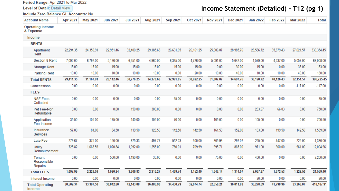Period Range: Apr 2021 to Mar 2022

Level of Detail: Detail View

Include Zero Balance GL Accounts: No

### **Income Statement (Detailed) – T12 (pg 1)**

| <b>Account Name</b>                  | <b>Apr 2021</b> | <b>May 2021</b> | <b>Jun 2021</b> | <b>Jul 2021</b> | Aug 2021  | <b>Sep 2021</b> | Oct 2021  | <b>Nov 2021</b> | <b>Dec 2021</b> | <b>Jan 2022</b> | <b>Feb 2022</b> | <b>Mar 2022</b> | <b>Total</b> |
|--------------------------------------|-----------------|-----------------|-----------------|-----------------|-----------|-----------------|-----------|-----------------|-----------------|-----------------|-----------------|-----------------|--------------|
| <b>Operating Income</b><br>& Expense |                 |                 |                 |                 |           |                 |           |                 |                 |                 |                 |                 |              |
| Income                               |                 |                 |                 |                 |           |                 |           |                 |                 |                 |                 |                 |              |
| <b>RENTS</b>                         |                 |                 |                 |                 |           |                 |           |                 |                 |                 |                 |                 |              |
| Apartment<br>Rent                    | 22,294.35       | 24,350.91       | 22,951.46       | 32,400.25       | 29,185.63 | 26,631.05       | 26,161.25 | 25,906.07       | 28,985.76       | 28,586.72       | 35,879.43       | 27,021.57       | 330,354.45   |
| Section 8 Rent                       | 7,092.00        | 6,792.00        | 5,136.00        | 6,351.00        | 4,960.00  | 6,345.00        | 4,726.00  | 5,091.00        | 5,642.00        | 4,579.00        | 4,237.00        | 5,057.00        | 66,008.00    |
| Storage Rent                         | 15.00           | 15.00           | 15.00           | 15.00           | 15.00     | 15.00           | 15.00     | 0.00            | 30.00           | 15.00           | 0.00            | 33.00           | 183.00       |
| <b>Parking Rent</b>                  | 10.00           | 10.00           | 10.00           | 10.00           | 10.00     | 0.00            | 20.00     | 10.00           | 40.00           | 10.00           | 10.00           | 40.00           | 180.00       |
| <b>Total RENTS</b>                   | 29,411.35       | 31,167.91       | 28,112.46       | 38,776.25       | 34,170.63 | 32,991.05       | 30,922.25 | 31,007.07       | 34,697.76       | 33,190.72       | 40,126.43       | 32, 151.57      | 396,725.45   |
| Concessions                          | 0.00            | 0.00            | 0.00            | 0.00            | 0.00      | 0.00            | 0.00      | 0.00            | 0.00            | 0.00            | 0.00            | $-117.00$       | $-117.00$    |
| <b>FEES</b>                          |                 |                 |                 |                 |           |                 |           |                 |                 |                 |                 |                 |              |
| <b>NSF Fees</b><br>Collected         | 0.00            | 0.00            | 0.00            | 0.00            | 0.00      | 35.00           | 0.00      | 0.00            | 0.00            | 0.00            | 0.00            | 0.00            | 35.00        |
| Pet Fee-Non<br>Refundable            | 0.00            | 0.00            | 0.00            | 150.00          | 300.00    | 0.00            | 0.00      | 0.00            | 0.00            | 233.97          | 66.03           | 0.00            | 750.00       |
| Application<br>Fee Income            | 35.50           | 105.00          | 175.00          | 140.00          | 105.00    | $-70.00$        | 0.00      | 105.00          | 0.00            | 105.00          | 0.00            | 0.00            | 700.50       |
| Insurance<br>Services                | 57.00           | 81.00           | 84.50           | 119.50          | 123.50    | 142.50          | 142.50    | 161.50          | 152.00          | 133.00          | 199.50          | 142.50          | 1,539.00     |
| Late Fee                             | 279.67          | 375.00          | 150.00          | 675.33          | 497.77    | 552.23          | 300.00    | 305.93          | 297.07          | 225.00          | 447.00          | 225.00          | 4,330.00     |
| <b>Utility</b><br>Reimbursement      | 725.82          | 1,668.59        | 1,020.84        | 1,092.00        | 1,255.00  | 780.01          | 709.99    | 995.71          | 865.00          | 971.00          | 960.00          | 961.00          | 12,004.96    |
| Tenant<br>Responsible<br>Repairs     | 0.00            | 0.00            | 500.00          | 1,190.00        | 35.00     | 0.00            | 0.00      | 75.00           | 0.00            | 400.00          | 0.00            | 0.00            | 2,200.00     |
| <b>Total FEES</b>                    | 1,097.99        | 2,229.59        | 1,930.34        | 3,366.83        | 2,316.27  | 1,439.74        | 1,152.49  | 1,643.14        | 1,314.07        | 2,067.97        | 1,672.53        | 1,328.50        | 21,559.46    |
| Interest Income                      | 0.00            | 0.00            | 0.00            | 0.00            | 0.00      | 0.00            | 0.00      | 0.00            | 0.00            | 20.00           | 0.00            | 0.00            | 20.00        |
| <b>Total Operating</b><br>Income     | 30,509.34       | 33,397.50       | 30,042.80       | 42,143.08       | 36,486.90 | 34,430.79       | 32,074.74 | 32,650.21       | 36,011.83       | 35,278.69       | 41,798.96       | 33,363.07       | 418,187.91   |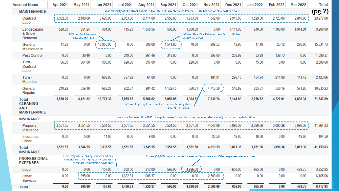| <b>Account Name</b>                                                 | <b>Apr 2021</b> | <b>May 2021</b>                                                                                                    | <b>Jun 2021</b>                                                                                                       | <b>Jul 2021</b> | Aug 2021 | <b>Sep 2021</b>                                                   | Oct 2021                       | <b>Nov 2021</b>                                        | Dec 2021                                                                                                | <b>Jan 2022</b> | <b>Feb 2022</b> | <b>Mar 2022</b> | <b>Total</b> |
|---------------------------------------------------------------------|-----------------|--------------------------------------------------------------------------------------------------------------------|-----------------------------------------------------------------------------------------------------------------------|-----------------|----------|-------------------------------------------------------------------|--------------------------------|--------------------------------------------------------|---------------------------------------------------------------------------------------------------------|-----------------|-----------------|-----------------|--------------|
| <b>MAINTENANCE</b>                                                  |                 | (pg 2)<br>Vast majority of "Contract Labor" is On-Site 1099 Maintenance Person - ~30+ hrs per week @ \$20 per hour |                                                                                                                       |                 |          |                                                                   |                                |                                                        |                                                                                                         |                 |                 |                 |              |
| Contract<br>Labor                                                   | 3,002.00        | 2,109.00                                                                                                           | 3,620.00                                                                                                              | 2,053.00        | 2,714.00 | 2,556.00                                                          | 1,653.00                       | 1,542.00                                               | 2,945.00                                                                                                | 1,520.00        | 2,723.00        | 2,840.00        | 29,277.00    |
| Landscaping<br>& Snow<br>Removal                                    | 520.00          | 954.24<br>1-Time: Pool Removal<br>\$12,950(6/11/21)                                                                | 404.00                                                                                                                | 415.23          | 1,540.56 | 500.00                                                            | 1,000.00<br>$$1,239$ (9/23/21) | 0.00<br>1-Time: New Fire Extinguishers Across All Prop | 1,111.93                                                                                                | 640.00          | 1,100.00        | 1,014.94        | 9,200.90     |
| General<br>Maintenance                                              | 11.28           | 0.00                                                                                                               | 12,950.00                                                                                                             | 0.00            | 308.09   | 1,541.80                                                          | 70.80                          | 296.53                                                 | 12.93                                                                                                   | 47.18           | 23.12           | 270.00          | 15,531.73    |
| <b>Pest Control</b>                                                 | 0.00            | 38.40                                                                                                              | 0.00                                                                                                                  | 249.00          | 261.46   | 319.80                                                            | 0.00                           | 297.00                                                 | 259.99                                                                                                  | 33.99           | 139.73          | 0.00            | 1,599.37     |
| Turn -<br>Contract<br>Labor                                         | 96.00           | 964.00                                                                                                             | 500.00                                                                                                                | 628.60          | 397.00   | 0.00                                                              | 220.00                         | 0.00                                                   | 0.00                                                                                                    | 75.00           | 0.00            | 0.00            | 2,880.60     |
| Turn -<br><b>Materials</b>                                          | 0.00            | 0.00                                                                                                               | 609.03                                                                                                                | 767.72          | 61.09    | 0.00                                                              | 0.00                           | 181.91                                                 | 296.15                                                                                                  | 154.74          | 211.00          | 141.42          | 2,423.06     |
| General<br>Repairs                                                  | 240.92          | 356.18                                                                                                             | 688.27                                                                                                                | 952.07          | 284.42   | 1,132.45                                                          | 360.81                         | 4,713.30                                               | 518.89                                                                                                  | 285.81          | 530.16          | 571.95          | 10,635.23    |
| <b>Total</b><br><b>CLEANING</b><br><b>AND</b><br><b>MAINTENANCE</b> | 3,870.20        | 4,421.82                                                                                                           | 18,771.30                                                                                                             | 5,065.62        | 5,566.62 | 6,050.05<br>1-Time: Lighting Investment - Exterior/Parking Stalls | 3,304.6<br>$$4,175$ (11/30/21) | 7,030.74                                               | 5,144.89                                                                                                | 2,756.72        | 4,727.01        | 4,838.31        | 71,547.89    |
| <b>INSURANCE</b>                                                    |                 |                                                                                                                    |                                                                                                                       |                 |          |                                                                   |                                |                                                        | Insurance Renewed Nov 2022 - Large Increase (November) then reduced (December) by increasing deductible |                 |                 |                 |              |
| Property<br>Insurance                                               | 3,551.55        | 3,551.55                                                                                                           | 3,551.55                                                                                                              | 3,551.55        | 3,551.55 | 3,551.55                                                          | 3,551.50                       | 4,042.09                                               | 3,090.36                                                                                                | 3,090.36        | 3,090.36        | 3,090.36        | 41,264.33    |
| Insurance<br>Other                                                  | 0.00            | $-5.00$                                                                                                            | $-14.00$                                                                                                              | 0.00            | $-6.00$  | 0.00                                                              | 0.00                           | $-22.50$                                               | $-19.00$                                                                                                | $-19.00$        | 0.00            | $-19.00$        | $-104.50$    |
| <b>Total</b><br><b>INSURANCE</b>                                    | 3,551.55        | 3,546.55                                                                                                           | 3,537.55                                                                                                              | 3,551.55        | 3,545.55 | 3,551.55                                                          | 3,551.50                       | 4,019.59                                               | 3,071.36                                                                                                | 3,071.36        | 3,090.36        | 3,071.36        | 41,159.83    |
| <b>PROFESSIONAL</b><br><b>EXPENSES</b>                              |                 |                                                                                                                    | Selectively use a leasing service and pay<br>1-month rent for high quality tenants -<br>these are commission payments |                 |          |                                                                   |                                |                                                        | 1-time (\$4,000) legal expense for needed legal services; Other expenses are evictions                  |                 |                 |                 |              |
| Legal                                                               | 0.00            | 0.00                                                                                                               | $-157.00$                                                                                                             | $-262.00$       | 212.00   | 566.00                                                            | 4,696.00                       | 0.00                                                   | $-658.00$                                                                                               | $-665.00$       | 0.00            | -479.75         | 3,252.25     |
| Other<br>Services                                                   | 0.00            | 995.00                                                                                                             | 0.00                                                                                                                  | 1,662.31        | 1,008.37 | 0.00                                                              | 0.00                           | $2,500.00$ $\frac{1}{2}$                               | 0.00                                                                                                    | 0.00            | 0.00            | 0.00            | 6,165.68     |
| <b>Total</b>                                                        | 0.00            | 995.00                                                                                                             | $-157.00$                                                                                                             | 1,400.31        | 1,220.37 | 566.00                                                            | 4,696.00                       | 2,500.00                                               | $-658.00$                                                                                               | $-665.00$       | 0.00            | -479.75         | 9,417.93     |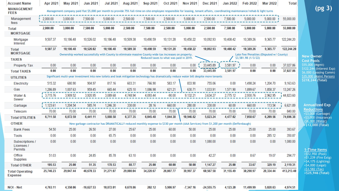| <b>Account Name</b>                      | <b>Apr 2021</b> | <b>May 2021</b> | <b>Jun 2021</b> | <b>Jul 2021</b> | Aug 2021  | <b>Sep 2021</b>                                                                                                                                                                | Oct 2021                                | <b>Nov 2021</b> | Dec 2021     | <b>Jan 2022</b> | <b>Feb 2022</b>     | <b>Mar 2022</b>                         | <b>Total</b> |                                                  |
|------------------------------------------|-----------------|-----------------|-----------------|-----------------|-----------|--------------------------------------------------------------------------------------------------------------------------------------------------------------------------------|-----------------------------------------|-----------------|--------------|-----------------|---------------------|-----------------------------------------|--------------|--------------------------------------------------|
| <b>MANAGEMENT</b><br><b>FEES</b>         |                 |                 |                 |                 |           | Management company paid flat \$5,000 per month to provide 75% full-time on-site employee responsible for leasing, tenant affairs, coordinating maintenance/rehab & light turns |                                         |                 |              |                 |                     |                                         |              | (pg <sub>3</sub> )                               |
| Management<br>fees                       | 2,000.00        | 3,000.00        | 7,500.00        | 5,000.00        | 2,500.00  | 7,500.00                                                                                                                                                                       | 2,500.00                                | 5,000.00        | 2,500.00     | 7,500.00        | 5,000.00            | 5,000.00                                | 55,000.00    |                                                  |
| <b>Total</b>                             | 2,000.00        | 3,000.00        | 7,500.00        | 5,000.00        | 2,500.00  | 7,500.00                                                                                                                                                                       | 2,500.00                                | 5,000.00        | 2,500.00     | 7,500.00        | 5,000.00            | 5,000.00                                | 55,000.00    |                                                  |
| <b>MORTGAGE</b>                          |                 |                 |                 |                 |           |                                                                                                                                                                                |                                         |                 |              |                 |                     |                                         |              |                                                  |
| Mortgage<br>Interest                     | 9,507.37        | 10,186.48       | 10,526.02       | 10,186.48       | 10,509.38 | 10,490.59                                                                                                                                                                      | 10,131.28                               | 10,450.22       | 10,092.93    | 10,408.42       | 10,389.26           | 9,365.77                                | 122,244.20   |                                                  |
| Total                                    | 9,507.37        | 10,186.48       | 10,526.02       | 10,186.48       | 10,509.38 | 10,490.59                                                                                                                                                                      | 10,131.28                               | 10,450.22       | 10,092.93    | 10,408.42       | 10,389.26           | 9,365.77                                | 122,244.20   |                                                  |
| <b>MORTGAGE</b>                          |                 |                 |                 |                 |           | Ownership worked successfully with County to eliminate massive County wide tax increases on property.                                                                          |                                         |                 |              |                 |                     | Late Fee/Penalties (Disputed w/ County) |              | <b>New Owner</b>                                 |
| <b>TAXES</b>                             |                 |                 |                 |                 |           |                                                                                                                                                                                | Reduced taxes to what was paid in 2019. |                 |              |                 | \$3,581.98 (1/3/22) |                                         |              | <b>Cost Pools</b>                                |
| Property Tax                             | 0.00            | 0.00            | 0.00            | 0.00            | 0.00      | 0.00                                                                                                                                                                           | 0.00                                    | 0.00            | 33,445.89    | 3,581.97        | 0.00                | 0.00                                    | 37,027.86    | \$55,000 (Mgmt)<br>\$122,244 (Interest Ex        |
| <b>Total TAXES</b>                       | 0.00            | 0.00            | 0.00            | 0.00            | 0.00      | 0.00                                                                                                                                                                           | 0.00                                    | 0.00            | 33,445.89    | 3,581.97        | 0.00                | 0.00                                    | 37,027.86    | \$6,000 (Leasing Comi                            |
| <b>UTILITIES</b>                         |                 |                 |                 |                 |           | Significant multi-year investment into new toilets and leak mitigation technology has dramatically reduce water bill despite more tenants                                      |                                         |                 |              |                 |                     |                                         |              | \$35,000 (Maint Perso<br>\$218,244 (Total)       |
| Electricity                              | 515.32          | 680.90          | 904.97          | 817.16          | 603.31    | 766.90                                                                                                                                                                         | 583.17                                  | 833.90          | 755.06       | 0.00            | 1,498.24            | 1,204.70                                | 9,163.63     |                                                  |
| Gas                                      | 1,286.89        | 1,007.63        | 959.45          | 665.44          | 625.10    | 1,086.98                                                                                                                                                                       | 621.21                                  | 630.71          | 1,033.91     | 1,571.90        | 1,899.67            | 1,858.37                                | 13,247.26    |                                                  |
| Water &<br>Sewer                         | 3,715.76        | 3,909.52        | 3,920.95        | 3,089.68        | 4,748.94  | 4,093.44                                                                                                                                                                       | $-90.00$                                | 9,132.21        | 3,634.27     | 2,775.12        | 2,930.76            | 2,962.95                                | 44,823.60    |                                                  |
| Garbage                                  | 1,123.61        | 1,204.54        | 585.74          | 1,246.30        | 330.00    | 28.16                                                                                                                                                                          | 660.00                                  | 280.00          | 330.00       | 60.00           | 660.00              | 113.54                                  | 6,621.89     | <b>Annualized Exp</b>                            |
| Telecom                                  | 70.00           | 70.00           | 70.00           | 70.00           | 70.00     | 70.00                                                                                                                                                                          | 70.00                                   | 70.00           | 70.00        | 70.00           | 70.00               | 70.00                                   | 840.00       | <b>Reductions</b>                                |
| <b>Total UTILITIES</b>                   | 6,711.58        | 6,872.59        | 6,441.11        | 5,888.58        | 6,377.35  | 6,045.48                                                                                                                                                                       | 1,844.38                                | 10,946.82       | 5,823.24     | 4,477.02        | 7,058.67            | 6,209.56                                | 74,696.38    | $+$ \$3,000 (Garbage)<br>$+$ \$3,000 (Insurance) |
| <b>OTHER</b>                             |                 |                 |                 |                 |           | New garbage contractor has DRAMATICALLY reduced monthly expense to \$330 per month (AAA Services) from \$1,200 per month (Deffenbaugh)                                         |                                         |                 |              |                 |                     |                                         |              | $+56,000$ (Water)<br>$+$ \$12,000 (Total)        |
| <b>Bank Fees</b>                         | 54.50           | 25.00           | 26.50           | 27.00           | 25.67     | 25.00                                                                                                                                                                          | 60.00                                   | 50.00           | 25.00        | 25.00           | 25.00               | 25.00                                   | 393.67       |                                                  |
| Tools                                    | 0.00            | 0.00            | 0.00            | 65.75           | 0.00      | 0.00                                                                                                                                                                           | 0.00                                    | 0.00            | 0.00         | 0.00            | 0.00                | 285.12                                  | 350.87       |                                                  |
| Subscriptions /<br>Licenses /<br>Permits | 0.00            | 0.00            | 0.00            | 0.00            | 0.00      | 0.00                                                                                                                                                                           | 0.00                                    | 0.00            | 1,080.00     | 0.00            | 0.00                | 0.00                                    | 1,080.00     | 1-Time Items                                     |
| Office<br>Supplies                       | 51.03           | 0.00            | 24.85           | 85.78           | 63.10     | 0.00                                                                                                                                                                           | 0.00                                    | 0.00            | 42.27        | 0.00            | 8.67                | 19.07                                   | 294.77       | $+ $12,950$ (Pool)<br>+\$1,239 (Fire Extg)       |
| <b>Total OTHER</b>                       | 105.53          | 25.00           | 51.35           | 178.53          | 88.77     | 25.00                                                                                                                                                                          | 60.00                                   | 50.00           | 1,147.27     | 25.00           | 33.67               | 329.19                                  | 2,119.31     | +\$4,175 (Lighting)<br>$+54,000$ (Legal)         |
| <b>Total Operating</b><br><b>Expense</b> | 25,746.23       | 29,047.44       | 46,670.33       | 31,271.07       | 29,808.04 | 34,228.67                                                                                                                                                                      | 26,087.77                               | 39,997.37       | 60,567.58    | 31,155.49       | 30,298.97           | 28,334.44                               | 413,213.40   | +\$3,582 $(Tax)$<br>$+$ \$25,946 (Total)         |
| <b>NOI - Net</b>                         | 4,763.11        | 4,350.06        | $-16,627.53$    | 10,872.01       | 6,678.86  | 202.12                                                                                                                                                                         | 5,986.97                                | $-7,347.16$     | $-24,555.75$ | 4,123.20        | 11,499.99           | 5,028.63                                | 4,974.51     |                                                  |

 $\sim$   $\sim$ 

**Owner Cost Pools** \$55,000 (Mgmt) \$122,244 (Interest Exp) \$6,000 (Leasing Comm) \$35,000 (Maint Person) **\$218,244 (Total)**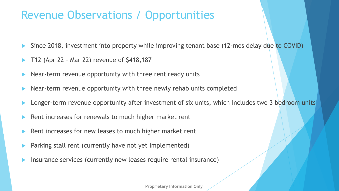# Revenue Observations / Opportunities

- Since 2018, investment into property while improving tenant base (12-mos delay due to COVID)
- T12 (Apr 22 Mar 22) revenue of \$418,187
- Near-term revenue opportunity with three rent ready units
- Near-term revenue opportunity with three newly rehab units completed
- Longer-term revenue opportunity after investment of six units, which includes two 3 bedroom units
- Rent increases for renewals to much higher market rent
- Rent increases for new leases to much higher market rent
- Parking stall rent (currently have not yet implemented)
- Insurance services (currently new leases require rental insurance)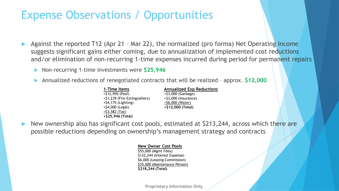# Expense Observations / Opportunities

- Against the reported T12 (Apr 21 Mar 22), the normalized (pro forma) Net Operating Income suggests significant gains either coming, due to annualization of implemented cost reductions and/or elimination of non-recurring 1-time expenses incurred during period for permanent repairs
	- Non-recurring 1-time investments were **\$25,946**
	- Annualized reductions of renegotiated contracts that will be realized approx. **\$12,000**
		- **1-Time Items** +\$12,950 (Pool) +\$1,239 (Fire Extinguishers) +\$4,175 (Lighting) +\$4,000 (Legal) +\$3,582 (Tax) **+\$25,946 (Total)**

**Annualized Exp Reductions** +\$3,000 (Garbage) +\$3,000 (Insurance) +\$6,000 (Water) **+\$12,000 (Total)**

 New ownership also has significant cost pools, estimated at \$213,244, across which there are possible reductions depending on ownership's management strategy and contracts

#### **New Owner Cost Pools**

\$55,000 (Mgmt Fees) \$122,244 (Interest Expense) \$6,000 (Leasing Commission) \$35,000 (Maintenance Person) **\$218,244 (Total)**